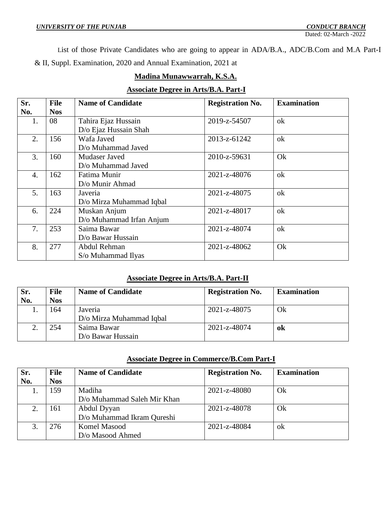List of those Private Candidates who are going to appear in ADA/B.A., ADC/B.Com and M.A Part-I & II, Suppl. Examination, 2020 and Annual Examination, 2021 at

# **Madina Munawwarrah, K.S.A.**

# **Associate Degree in Arts/B.A. Part-I**

| Sr. | File       | <b>Name of Candidate</b> | <b>Registration No.</b> | <b>Examination</b> |
|-----|------------|--------------------------|-------------------------|--------------------|
| No. | <b>Nos</b> |                          |                         |                    |
| 1.  | 08         | Tahira Ejaz Hussain      | 2019-z-54507            | ok                 |
|     |            | D/o Ejaz Hussain Shah    |                         |                    |
| 2.  | 156        | Wafa Javed               | 2013-z-61242            | ok                 |
|     |            | D/o Muhammad Javed       |                         |                    |
| 3.  | 160        | Mudaser Javed            | 2010-z-59631            | Ok                 |
|     |            | D/o Muhammad Javed       |                         |                    |
| 4.  | 162        | Fatima Munir             | 2021-z-48076            | ok                 |
|     |            | D/o Munir Ahmad          |                         |                    |
| 5.  | 163        | Javeria                  | 2021-z-48075            | ok                 |
|     |            | D/o Mirza Muhammad Iqbal |                         |                    |
| 6.  | 224        | Muskan Anjum             | 2021-z-48017            | ok                 |
|     |            | D/o Muhammad Irfan Anjum |                         |                    |
| 7.  | 253        | Saima Bawar              | 2021-z-48074            | ok                 |
|     |            | D/o Bawar Hussain        |                         |                    |
| 8.  | 277        | Abdul Rehman             | 2021-z-48062            | Ok                 |
|     |            | S/o Muhammad Ilyas       |                         |                    |

#### **Associate Degree in Arts/B.A. Part-II**

| Sr. | <b>File</b> | <b>Name of Candidate</b> | <b>Registration No.</b> | <b>Examination</b> |
|-----|-------------|--------------------------|-------------------------|--------------------|
| No. | <b>Nos</b>  |                          |                         |                    |
|     | 164         | Javeria                  | 2021-z-48075            | Ok                 |
|     |             | D/o Mirza Muhammad Iqbal |                         |                    |
|     | 254         | Saima Bawar              | 2021-z-48074            | ok                 |
|     |             | D/o Bawar Hussain        |                         |                    |

#### **Associate Degree in Commerce/B.Com Part-I**

| Sr. | File       | <b>Name of Candidate</b>    | <b>Registration No.</b> | <b>Examination</b> |
|-----|------------|-----------------------------|-------------------------|--------------------|
| No. | <b>Nos</b> |                             |                         |                    |
|     | 159        | Madiha                      | 2021-z-48080            | Ok                 |
|     |            | D/o Muhammad Saleh Mir Khan |                         |                    |
| 2.  | 161        | Abdul Dyyan                 | 2021-z-48078            | Ok                 |
|     |            | D/o Muhammad Ikram Qureshi  |                         |                    |
|     | 276        | Komel Masood                | 2021-z-48084            | ok                 |
|     |            | D/o Masood Ahmed            |                         |                    |